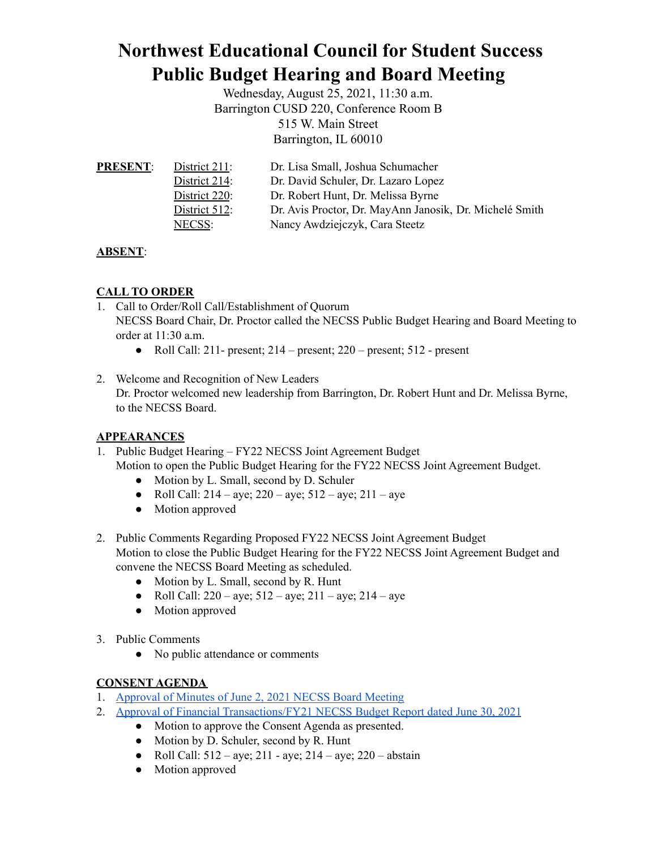# **Northwest Educational Council for Student Success Public Budget Hearing and Board Meeting**

Wednesday, August 25, 2021, 11:30 a.m. Barrington CUSD 220, Conference Room B 515 W. Main Street Barrington, IL 60010

| <b>PRESENT:</b> | District $211$ : | Dr. Lisa Small, Joshua Schumacher                       |
|-----------------|------------------|---------------------------------------------------------|
|                 | District 214:    | Dr. David Schuler, Dr. Lazaro Lopez                     |
|                 | District 220:    | Dr. Robert Hunt, Dr. Melissa Byrne                      |
|                 | District $512$ : | Dr. Avis Proctor, Dr. MayAnn Janosik, Dr. Michelé Smith |
|                 | NECSS:           | Nancy Awdziejczyk, Cara Steetz                          |

# **ABSENT**:

# **CALL TO ORDER**

- 1. Call to Order/Roll Call/Establishment of Quorum NECSS Board Chair, Dr. Proctor called the NECSS Public Budget Hearing and Board Meeting to order at 11:30 a.m.
	- Roll Call:  $211$  present;  $214$  present;  $220$  present;  $512$  present
- 2. Welcome and Recognition of New Leaders Dr. Proctor welcomed new leadership from Barrington, Dr. Robert Hunt and Dr. Melissa Byrne, to the NECSS Board.

## **APPEARANCES**

- 1. Public Budget Hearing FY22 NECSS Joint Agreement Budget Motion to open the Public Budget Hearing for the FY22 NECSS Joint Agreement Budget.
	- Motion by L. Small, second by D. Schuler
	- Roll Call:  $214 ave$ ;  $220 ave$ ;  $512 ave$ ;  $211 ave$
	- Motion approved
- 2. Public Comments Regarding Proposed FY22 NECSS Joint Agreement Budget Motion to close the Public Budget Hearing for the FY22 NECSS Joint Agreement Budget and convene the NECSS Board Meeting as scheduled.
	- Motion by L. Small, second by R. Hunt
	- Roll Call:  $220 aye$ ;  $512 aye$ ;  $211 aye$ ;  $214 aye$
	- Motion approved
- 3. Public Comments
	- No public attendance or comments

## **CONSENT AGENDA**

- 1. [Approval](https://docs.google.com/document/d/1UeTViYTA_p44zNbvi-ltoqsvqUCftoBbrRLNpNijsCc/edit?usp=sharing) of Minutes of June 2, 2021 NECSS Board Meeting
- 2. Approval of Financial [Transactions/FY21](https://drive.google.com/file/d/1nfltCTV1HeYxVGzRWEHtSDQqUsAp7F9P/view?usp=sharing) NECSS Budget Report dated June 30, 2021
	- Motion to approve the Consent Agenda as presented.
	- Motion by D. Schuler, second by R. Hunt
	- Roll Call:  $512 ave$ ;  $211 ave$ ;  $214 ave$ ;  $220 abstain$
	- Motion approved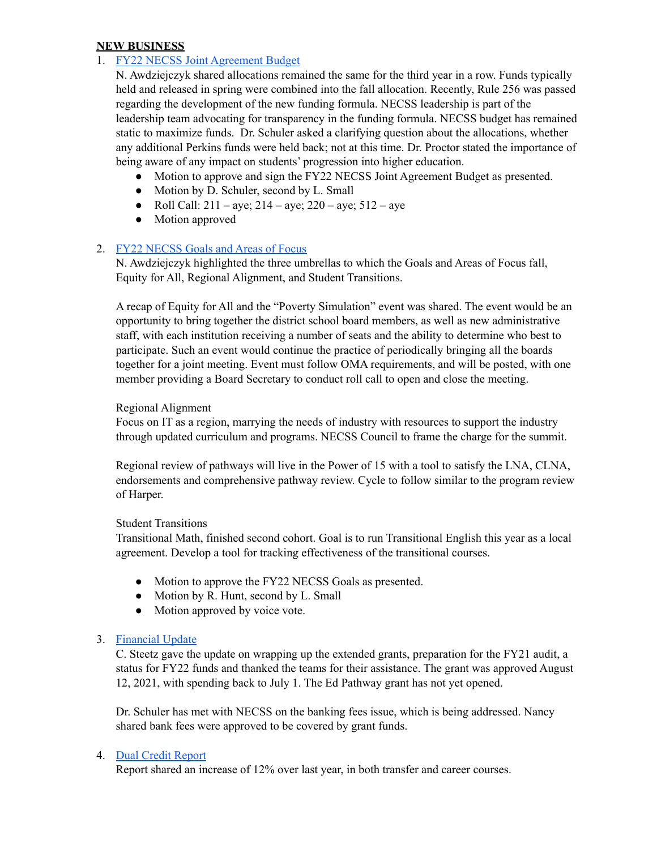#### **NEW BUSINESS**

## 1. FY22 NECSS Joint [Agreement](https://docs.google.com/document/d/1--1gq_Vx5SJwC0JXP_RE3nvhI2S2FJNYarlCR37QUB4/edit?usp=sharing) Budget

N. Awdziejczyk shared allocations remained the same for the third year in a row. Funds typically held and released in spring were combined into the fall allocation. Recently, Rule 256 was passed regarding the development of the new funding formula. NECSS leadership is part of the leadership team advocating for transparency in the funding formula. NECSS budget has remained static to maximize funds. Dr. Schuler asked a clarifying question about the allocations, whether any additional Perkins funds were held back; not at this time. Dr. Proctor stated the importance of being aware of any impact on students' progression into higher education.

- Motion to approve and sign the FY22 NECSS Joint Agreement Budget as presented.
- Motion by D. Schuler, second by L. Small
- Roll Call:  $211 aye$ ;  $214 aye$ ;  $220 aye$ ;  $512 aye$
- Motion approved

#### 2. FY22 [NECSS](https://docs.google.com/document/d/1Fhc90E3fGbwbpd8JmdG5lcfWjjoqH633GIYsLusY97E/edit?usp=sharing) Goals and Areas of Focus

N. Awdziejczyk highlighted the three umbrellas to which the Goals and Areas of Focus fall, Equity for All, Regional Alignment, and Student Transitions.

A recap of Equity for All and the "Poverty Simulation" event was shared. The event would be an opportunity to bring together the district school board members, as well as new administrative staff, with each institution receiving a number of seats and the ability to determine who best to participate. Such an event would continue the practice of periodically bringing all the boards together for a joint meeting. Event must follow OMA requirements, and will be posted, with one member providing a Board Secretary to conduct roll call to open and close the meeting.

#### Regional Alignment

Focus on IT as a region, marrying the needs of industry with resources to support the industry through updated curriculum and programs. NECSS Council to frame the charge for the summit.

Regional review of pathways will live in the Power of 15 with a tool to satisfy the LNA, CLNA, endorsements and comprehensive pathway review. Cycle to follow similar to the program review of Harper.

#### Student Transitions

Transitional Math, finished second cohort. Goal is to run Transitional English this year as a local agreement. Develop a tool for tracking effectiveness of the transitional courses.

- Motion to approve the FY22 NECSS Goals as presented.
- Motion by R. Hunt, second by L. Small
- Motion approved by voice vote.

#### 3. [Financial](https://docs.google.com/document/d/16l-J2PquJn79CPGoW2JzIUI8N3cnMtAPsWVv6OWilVw/edit?usp=sharing) Update

C. Steetz gave the update on wrapping up the extended grants, preparation for the FY21 audit, a status for FY22 funds and thanked the teams for their assistance. The grant was approved August 12, 2021, with spending back to July 1. The Ed Pathway grant has not yet opened.

Dr. Schuler has met with NECSS on the banking fees issue, which is being addressed. Nancy shared bank fees were approved to be covered by grant funds.

#### 4. Dual Credit [Report](https://docs.google.com/document/d/1T-25koiN9ZQ9XqgVTfsmKKLejaeteZiouEWW-0O7HWg/edit?usp=sharing)

Report shared an increase of 12% over last year, in both transfer and career courses.